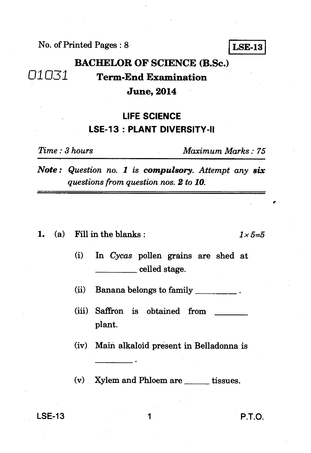No. of Printed Pages : 8 **LSE-13** 

## **BACHELOR OF SCIENCE (B.Sc.)**  *al.* **071 Term-End Examination June, 2014**

## **LIFE SCIENCE LSE-13 : PLANT DIVERSITY-II**

*Time : 3 hours Maximum Marks : 75* 

*Note : Question no. 1 is compulsory. Attempt any six questions from question nos. 2 to 10.* 

**1.** (a) Fill in the blanks :  $1 \times 5=5$ 

(i) In *Cycas* pollen grains are shed at celled stage.

(ii) Banana belongs to family

(iii) Saffron is obtained from plant.

(iv) Main alkaloid present in Belladonna is

 $(v)$  Xylem and Phloem are  $f$  tissues.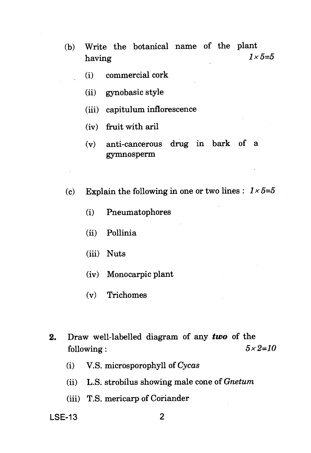- (b) Write the botanical name of the plant<br>having  $1 \times 5=5$ having  $1 \times 5=5$ 
	- (i) commercial cork
	- (ii) gynobasic style
	- (iii) capitulum inflorescence
	- (iv) fruit with aril
	- (v) anti-cancerous drug in bark of a gymnosperm
- (c) Explain the following in one or two lines :  $1 \times 5=5$ 
	- (i) Pneumatophores
	- (ii) Pollinia
	- (iii) Nuts
	- (iv) Monocarpic plant
	- (v) Trichomes
- **2.** Draw well-labelled diagram of any *two* of the following :  $5 \times 2=10$ 
	- (i) V.S. microsporophyll of *Cycas*
	- (ii) L.S. strobilus showing male cone of *Gnetum*
	- (iii) T.S. mericarp of Coriander

**LSE-13 2**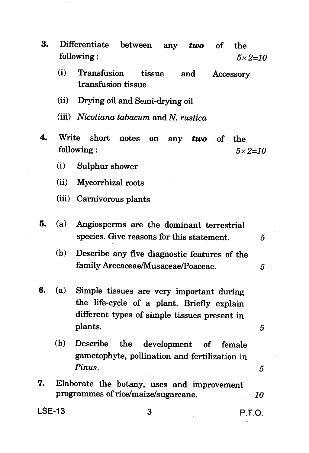- **3.** Differentiate between any *two* of the following :  $5 \times 2=10$ 
	- (i) Transfusion tissue and Accessory transfusion tissue
	- (ii) Drying oil and Semi-drying oil
	- (iii) Nicotiana tabacum and N. rustica
- **4.** Write short notes on any *two* of the following :  $5 \times 2=10$ 
	- (i) Sulphur shower
	- (ii) Mycorrhizal roots
	- (iii) Carnivorous plants
- **5.** (a) Angiosperms are the dominant terrestrial species. Give reasons for this statement.
	- (b) Describe any five diagnostic features of the family Arecaceae/Musaceae/Poaceae. *5*
- **6.** *(a)* Simple tissues are very important during the life-cycle of a plant. Briefly explain different types of simple tissues present in plants. *5* 
	- (b) Describe the development of female gametophyte, pollination and fertilization in Pinus. *5*
- **7.** Elaborate the botany, uses and improvement programmes of rice/maize/sugarcane. *10*

**LSE-13 3 P.T.O.** 

5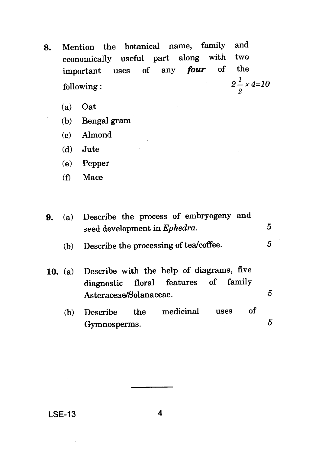- **8.** Mention the botanical name, family and<br>economically useful part along with two economically useful part along with two important uses of any *four* of the following :  $2\frac{1}{2} \times 4=10$ 
	- (a) Oat
	- (b) Bengal gram
	- (c) Almond
	- (d) Jute
	- (e) Pepper
	- (f) Mace
- **9.** (a) Describe the process of embryogeny and seed development in *Ephedra*. 5 5 (b) Describe the processing of tea/coffee. 10. (a) Describe with the help of diagrams, five diagnostic floral features of family Asteraceae/Solanaceae. 5 (b) Describe the medicinal uses of Gymnosperms. 5

LSE-13 4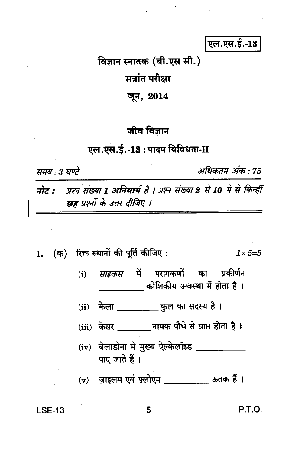एल.एस.ई.-13

विज्ञान स्नातक (बी.एस सी.)

सत्रांत परीक्षा

जून, 2014

## जीव विज्ञान

## एल.एस.ई.-13: पादप विविधता-II

समय : 3 घण्टे

अधिकतम अंक : 75

प्रश्न संख्या 1 अनिवार्य है । प्रश्न संख्या 2 से 10 में से किन्हीं नोट : छह प्रश्नों के उत्तर दीजिए ।

1. (क) रिक्त स्थानों की पूर्ति कीजिए:  $1 \times 5 = 5$ 

> *साइकस* में परागकणों का प्रकीर्णन  $(i)$ कोशिकीय अवस्था में होता है।

केला कुल का सदस्य है।  $(ii)$ 

(iii) केसर \_\_\_\_\_\_\_ नामक पौधे से प्राप्त होता है।

- (iv) बेलाडोना में मुख्य ऐल्केलॉइड \_\_\_\_\_\_ पाए जाते हैं।
- (v) ज़ाइलम एवं फ़्लोएम \_\_\_\_\_\_\_\_\_\_\_ ऊतक हैं।

**LSE-13** 

P.T.O.

5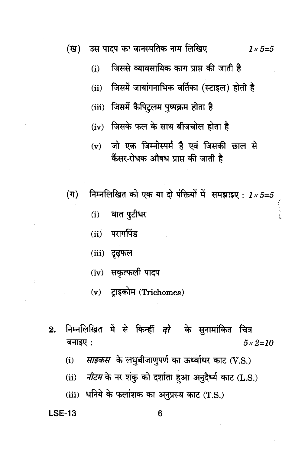(ख) उस पादप का वानस्पतिक नाम लिखिए  $1 \times 5 = 5$ 

- जिससे व्यावसायिक काग प्राप्त की जाती है  $(i)$
- जिसमें जायांगनाभिक वर्तिका (स्टाइल) होती है  $(ii)$
- (iii) जिसमें कैपिटलम पुष्पक्रम होता है
- (iv) जिसके फल के साथ बीजचोल होता है
- (v) जो एक जिम्नोस्पर्म है एवं जिसकी छाल से कैंसर-रोधक औषध प्राप्त की जाती है
- $(\pi)$ निम्नलिखित को एक या दो पंक्तियों में समझाइए:  $1 \times 5 = 5$ 
	- वात पुटीधर  $(i)$
	- परागपिंड  $(ii)$
	- (iii) दृढ़फल
	- (iv) सकृत्फली पादप
	- (v) ट्राइकोम (Trichomes)
- निम्नलिखित में से किन्हीं *दो* के सुनामांकित चित्र  $2.$ बनाइए:  $5 \times 2 = 10$ 
	- साइकस के लघुबीजाणुपर्ण का ऊर्ध्वाधर काट (V.S.)  $(i)$
	- नीटम के नर शंकु को दर्शाता हुआ अनुदैर्ध्य काट (L.S.)  $(ii)$
	- (iii) धनिये के फलांशक का अनुप्रस्थ काट (T.S.)

**LSE-13**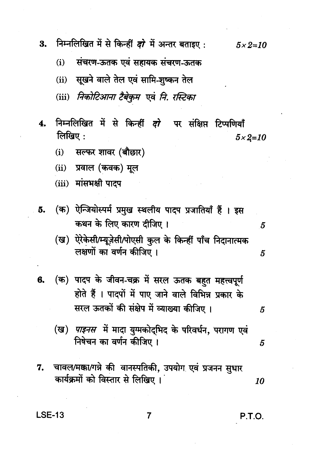निम्नलिखित में से किन्हीं *दो* में अन्तर बताइए : 3.  $5 \times 2 = 10$ 

संचरण-ऊतक एवं सहायक संचरण-ऊतक  $(i)$ 

सुखने वाले तेल एवं सामि-शुष्कन तेल  $(ii)$ 

(iii) निकोटिआना टैबेकुम एवं नि. रस्टिका

- निम्नलिखित में से किन्हीं *दो* पर संक्षिप्त टिप्पणियाँ  $\mathbf{4}$ लिखिए:  $5 \times 2 = 10$ 
	- सल्फर शावर (बौछार)  $(i)$

 $(ii)$ प्रवाल (कवक) मूल

(iii) मांसभक्षी पाटप

- (क) ऐन्जियोस्पर्म प्रमुख स्थलीय पादप प्रजातियाँ हैं । इस 5. कथन के लिए कारण दीजिए ।
	- (ख) ऐरेकेसी/म्यूज़ेसी/पोएसी कुल के किन्हीं पाँच निदानात्मक लक्षणों का वर्णन कीजिए ।
- (क) पादप के जीवन-चक्र में सरल ऊतक बहुत महत्त्वपूर्ण 6. होते हैं । पादपों में पाए जाने वाले विभिन्न प्रकार के सरल ऊतकों की संक्षेप में व्याख्या कीजिए।
	- (ख) *पाइनस* में मादा युग्मकोद्भिद के परिवर्धन, परागण एवं निषेचन का वर्णन कीजिए ।
- 7. चावल/मक्का/गन्ने की वानस्पतिकी, उपयोग एवं प्रजनन सुधार कार्यक्रमों को विस्तार से लिखिए । 10

**LSE-13** 

P.T.O.

5

5

5

5

 $\overline{7}$